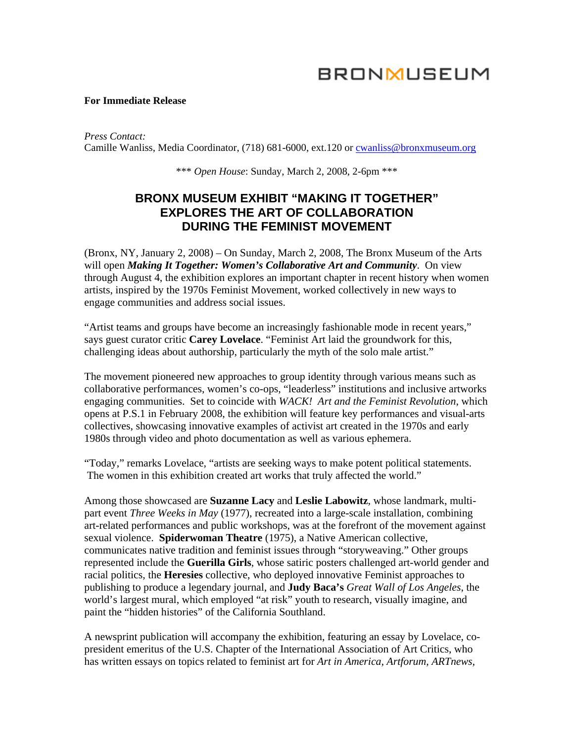# **BRONMUSEUM**

#### **For Immediate Release**

*Press Contact:*  Camille Wanliss, Media Coordinator, (718) 681-6000, ext.120 or [cwanliss@bronxmuseum.org](mailto:cwanliss@bronxmuseum.org)

\*\*\* *Open House*: Sunday, March 2, 2008, 2-6pm \*\*\*

# **BRONX MUSEUM EXHIBIT "MAKING IT TOGETHER" EXPLORES THE ART OF COLLABORATION DURING THE FEMINIST MOVEMENT**

(Bronx, NY, January 2, 2008) – On Sunday, March 2, 2008, The Bronx Museum of the Arts will open *Making It Together: Women's Collaborative Art and Community*. On view through August 4, the exhibition explores an important chapter in recent history when women artists, inspired by the 1970s Feminist Movement, worked collectively in new ways to engage communities and address social issues.

"Artist teams and groups have become an increasingly fashionable mode in recent years," says guest curator critic **Carey Lovelace**. "Feminist Art laid the groundwork for this, challenging ideas about authorship, particularly the myth of the solo male artist."

The movement pioneered new approaches to group identity through various means such as collaborative performances, women's co-ops, "leaderless" institutions and inclusive artworks engaging communities. Set to coincide with *WACK! Art and the Feminist Revolution*, which opens at P.S.1 in February 2008, the exhibition will feature key performances and visual-arts collectives, showcasing innovative examples of activist art created in the 1970s and early 1980s through video and photo documentation as well as various ephemera.

"Today," remarks Lovelace, "artists are seeking ways to make potent political statements. The women in this exhibition created art works that truly affected the world."

Among those showcased are **Suzanne Lacy** and **Leslie Labowitz**, whose landmark, multipart event *Three Weeks in May* (1977), recreated into a large-scale installation, combining art-related performances and public workshops, was at the forefront of the movement against sexual violence. **Spiderwoman Theatre** (1975), a Native American collective, communicates native tradition and feminist issues through "storyweaving." Other groups represented include the **Guerilla Girls**, whose satiric posters challenged art-world gender and racial politics, the **Heresies** collective, who deployed innovative Feminist approaches to publishing to produce a legendary journal, and **Judy Baca's** *Great Wall of Los Angeles*, the world's largest mural, which employed "at risk" youth to research, visually imagine, and paint the "hidden histories" of the California Southland.

A newsprint publication will accompany the exhibition, featuring an essay by Lovelace, copresident emeritus of the U.S. Chapter of the International Association of Art Critics, who has written essays on topics related to feminist art for *Art in America, Artforum, ARTnews,*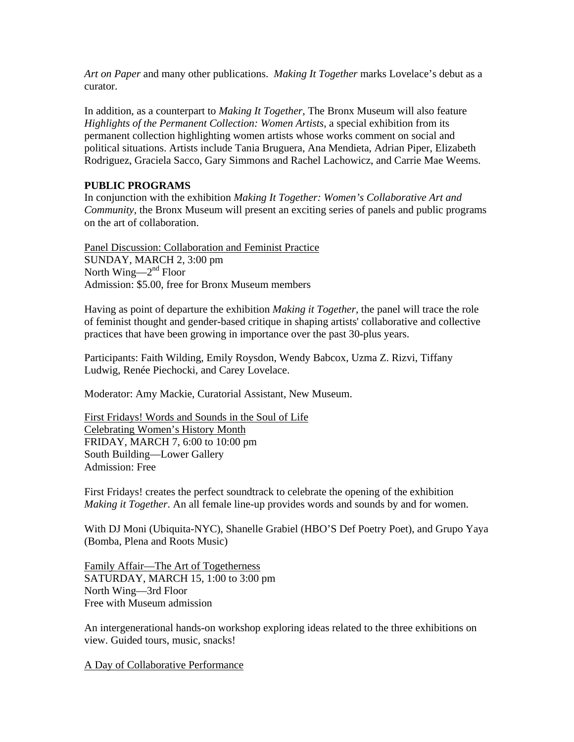*Art on Paper* and many other publications. *Making It Together* marks Lovelace's debut as a curator.

In addition, as a counterpart to *Making It Together*, The Bronx Museum will also feature *Highlights of the Permanent Collection: Women Artists*, a special exhibition from its permanent collection highlighting women artists whose works comment on social and political situations. Artists include Tania Bruguera, Ana Mendieta, Adrian Piper, Elizabeth Rodriguez, Graciela Sacco, Gary Simmons and Rachel Lachowicz, and Carrie Mae Weems.

# **PUBLIC PROGRAMS**

In conjunction with the exhibition *Making It Together: Women's Collaborative Art and Community*, the Bronx Museum will present an exciting series of panels and public programs on the art of collaboration.

Panel Discussion: Collaboration and Feminist Practice SUNDAY, MARCH 2, 3:00 pm North Wing— $2<sup>nd</sup>$  Floor Admission: \$5.00, free for Bronx Museum members

Having as point of departure the exhibition *Making it Together*, the panel will trace the role of feminist thought and gender-based critique in shaping artists' collaborative and collective practices that have been growing in importance over the past 30-plus years.

Participants: Faith Wilding, Emily Roysdon, Wendy Babcox, Uzma Z. Rizvi, Tiffany Ludwig, Renée Piechocki, and Carey Lovelace.

Moderator: Amy Mackie, Curatorial Assistant, New Museum.

First Fridays! Words and Sounds in the Soul of Life Celebrating Women's History Month FRIDAY, MARCH 7, 6:00 to 10:00 pm South Building—Lower Gallery Admission: Free

First Fridays! creates the perfect soundtrack to celebrate the opening of the exhibition *Making it Together*. An all female line-up provides words and sounds by and for women.

With DJ Moni (Ubiquita-NYC), Shanelle Grabiel (HBO'S Def Poetry Poet), and Grupo Yaya (Bomba, Plena and Roots Music)

Family Affair—The Art of Togetherness SATURDAY, MARCH 15, 1:00 to 3:00 pm North Wing—3rd Floor Free with Museum admission

An intergenerational hands-on workshop exploring ideas related to the three exhibitions on view. Guided tours, music, snacks!

A Day of Collaborative Performance